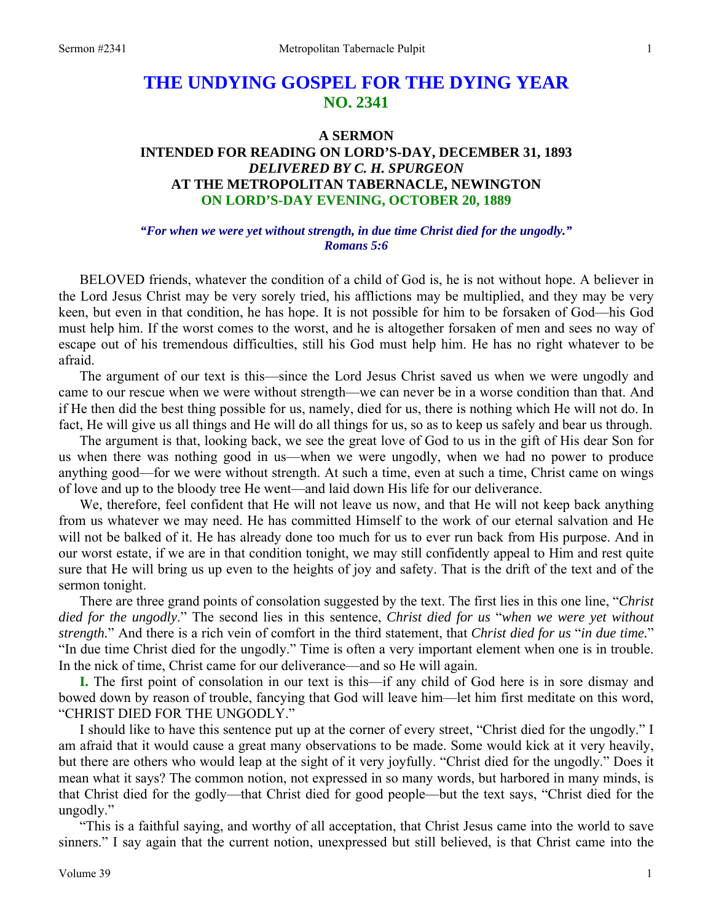# **THE UNDYING GOSPEL FOR THE DYING YEAR NO. 2341**

### **A SERMON INTENDED FOR READING ON LORD'S-DAY, DECEMBER 31, 1893**  *DELIVERED BY C. H. SPURGEON*  **AT THE METROPOLITAN TABERNACLE, NEWINGTON ON LORD'S-DAY EVENING, OCTOBER 20, 1889**

### *"For when we were yet without strength, in due time Christ died for the ungodly." Romans 5:6*

BELOVED friends, whatever the condition of a child of God is, he is not without hope. A believer in the Lord Jesus Christ may be very sorely tried, his afflictions may be multiplied, and they may be very keen, but even in that condition, he has hope. It is not possible for him to be forsaken of God—his God must help him. If the worst comes to the worst, and he is altogether forsaken of men and sees no way of escape out of his tremendous difficulties, still his God must help him. He has no right whatever to be afraid.

The argument of our text is this—since the Lord Jesus Christ saved us when we were ungodly and came to our rescue when we were without strength—we can never be in a worse condition than that. And if He then did the best thing possible for us, namely, died for us, there is nothing which He will not do. In fact, He will give us all things and He will do all things for us, so as to keep us safely and bear us through.

The argument is that, looking back, we see the great love of God to us in the gift of His dear Son for us when there was nothing good in us—when we were ungodly, when we had no power to produce anything good—for we were without strength. At such a time, even at such a time, Christ came on wings of love and up to the bloody tree He went—and laid down His life for our deliverance.

We, therefore, feel confident that He will not leave us now, and that He will not keep back anything from us whatever we may need. He has committed Himself to the work of our eternal salvation and He will not be balked of it. He has already done too much for us to ever run back from His purpose. And in our worst estate, if we are in that condition tonight, we may still confidently appeal to Him and rest quite sure that He will bring us up even to the heights of joy and safety. That is the drift of the text and of the sermon tonight.

There are three grand points of consolation suggested by the text. The first lies in this one line, "*Christ died for the ungodly*." The second lies in this sentence, *Christ died for us* "*when we were yet without strength.*" And there is a rich vein of comfort in the third statement, that *Christ died for us* "*in due time.*" "In due time Christ died for the ungodly." Time is often a very important element when one is in trouble. In the nick of time, Christ came for our deliverance—and so He will again.

**I.** The first point of consolation in our text is this—if any child of God here is in sore dismay and bowed down by reason of trouble, fancying that God will leave him—let him first meditate on this word, "CHRIST DIED FOR THE UNGODLY."

I should like to have this sentence put up at the corner of every street, "Christ died for the ungodly." I am afraid that it would cause a great many observations to be made. Some would kick at it very heavily, but there are others who would leap at the sight of it very joyfully. "Christ died for the ungodly." Does it mean what it says? The common notion, not expressed in so many words, but harbored in many minds, is that Christ died for the godly—that Christ died for good people—but the text says, "Christ died for the ungodly."

"This is a faithful saying, and worthy of all acceptation, that Christ Jesus came into the world to save sinners." I say again that the current notion, unexpressed but still believed, is that Christ came into the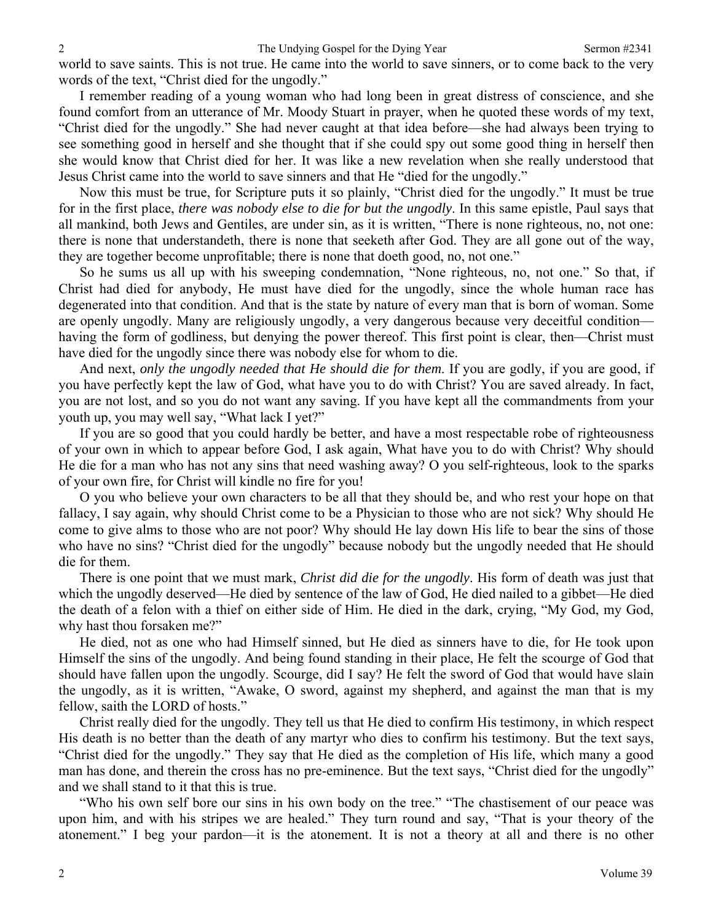world to save saints. This is not true. He came into the world to save sinners, or to come back to the very words of the text, "Christ died for the ungodly."

I remember reading of a young woman who had long been in great distress of conscience, and she found comfort from an utterance of Mr. Moody Stuart in prayer, when he quoted these words of my text, "Christ died for the ungodly." She had never caught at that idea before—she had always been trying to see something good in herself and she thought that if she could spy out some good thing in herself then she would know that Christ died for her. It was like a new revelation when she really understood that Jesus Christ came into the world to save sinners and that He "died for the ungodly."

Now this must be true, for Scripture puts it so plainly, "Christ died for the ungodly." It must be true for in the first place, *there was nobody else to die for but the ungodly*. In this same epistle, Paul says that all mankind, both Jews and Gentiles, are under sin, as it is written, "There is none righteous, no, not one: there is none that understandeth, there is none that seeketh after God. They are all gone out of the way, they are together become unprofitable; there is none that doeth good, no, not one."

So he sums us all up with his sweeping condemnation, "None righteous, no, not one." So that, if Christ had died for anybody, He must have died for the ungodly, since the whole human race has degenerated into that condition. And that is the state by nature of every man that is born of woman. Some are openly ungodly. Many are religiously ungodly, a very dangerous because very deceitful condition having the form of godliness, but denying the power thereof. This first point is clear, then—Christ must have died for the ungodly since there was nobody else for whom to die.

And next, *only the ungodly needed that He should die for them*. If you are godly, if you are good, if you have perfectly kept the law of God, what have you to do with Christ? You are saved already. In fact, you are not lost, and so you do not want any saving. If you have kept all the commandments from your youth up, you may well say, "What lack I yet?"

If you are so good that you could hardly be better, and have a most respectable robe of righteousness of your own in which to appear before God, I ask again, What have you to do with Christ? Why should He die for a man who has not any sins that need washing away? O you self-righteous, look to the sparks of your own fire, for Christ will kindle no fire for you!

O you who believe your own characters to be all that they should be, and who rest your hope on that fallacy, I say again, why should Christ come to be a Physician to those who are not sick? Why should He come to give alms to those who are not poor? Why should He lay down His life to bear the sins of those who have no sins? "Christ died for the ungodly" because nobody but the ungodly needed that He should die for them.

There is one point that we must mark, *Christ did die for the ungodly*. His form of death was just that which the ungodly deserved—He died by sentence of the law of God, He died nailed to a gibbet—He died the death of a felon with a thief on either side of Him. He died in the dark, crying, "My God, my God, why hast thou forsaken me?"

He died, not as one who had Himself sinned, but He died as sinners have to die, for He took upon Himself the sins of the ungodly. And being found standing in their place, He felt the scourge of God that should have fallen upon the ungodly. Scourge, did I say? He felt the sword of God that would have slain the ungodly, as it is written, "Awake, O sword, against my shepherd, and against the man that is my fellow, saith the LORD of hosts."

Christ really died for the ungodly. They tell us that He died to confirm His testimony, in which respect His death is no better than the death of any martyr who dies to confirm his testimony. But the text says, "Christ died for the ungodly." They say that He died as the completion of His life, which many a good man has done, and therein the cross has no pre-eminence. But the text says, "Christ died for the ungodly" and we shall stand to it that this is true.

"Who his own self bore our sins in his own body on the tree." "The chastisement of our peace was upon him, and with his stripes we are healed." They turn round and say, "That is your theory of the atonement." I beg your pardon—it is the atonement. It is not a theory at all and there is no other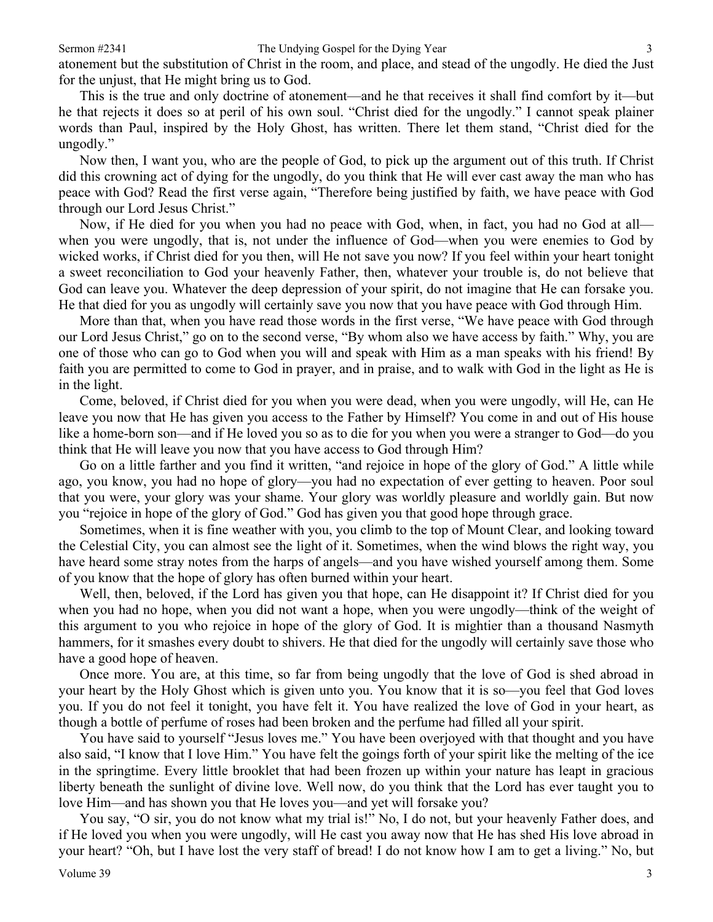atonement but the substitution of Christ in the room, and place, and stead of the ungodly. He died the Just for the unjust, that He might bring us to God.

This is the true and only doctrine of atonement—and he that receives it shall find comfort by it—but he that rejects it does so at peril of his own soul. "Christ died for the ungodly." I cannot speak plainer words than Paul, inspired by the Holy Ghost, has written. There let them stand, "Christ died for the ungodly."

Now then, I want you, who are the people of God, to pick up the argument out of this truth. If Christ did this crowning act of dying for the ungodly, do you think that He will ever cast away the man who has peace with God? Read the first verse again, "Therefore being justified by faith, we have peace with God through our Lord Jesus Christ."

Now, if He died for you when you had no peace with God, when, in fact, you had no God at all when you were ungodly, that is, not under the influence of God—when you were enemies to God by wicked works, if Christ died for you then, will He not save you now? If you feel within your heart tonight a sweet reconciliation to God your heavenly Father, then, whatever your trouble is, do not believe that God can leave you. Whatever the deep depression of your spirit, do not imagine that He can forsake you. He that died for you as ungodly will certainly save you now that you have peace with God through Him.

More than that, when you have read those words in the first verse, "We have peace with God through our Lord Jesus Christ," go on to the second verse, "By whom also we have access by faith." Why, you are one of those who can go to God when you will and speak with Him as a man speaks with his friend! By faith you are permitted to come to God in prayer, and in praise, and to walk with God in the light as He is in the light.

Come, beloved, if Christ died for you when you were dead, when you were ungodly, will He, can He leave you now that He has given you access to the Father by Himself? You come in and out of His house like a home-born son—and if He loved you so as to die for you when you were a stranger to God—do you think that He will leave you now that you have access to God through Him?

Go on a little farther and you find it written, "and rejoice in hope of the glory of God." A little while ago, you know, you had no hope of glory—you had no expectation of ever getting to heaven. Poor soul that you were, your glory was your shame. Your glory was worldly pleasure and worldly gain. But now you "rejoice in hope of the glory of God." God has given you that good hope through grace.

Sometimes, when it is fine weather with you, you climb to the top of Mount Clear, and looking toward the Celestial City, you can almost see the light of it. Sometimes, when the wind blows the right way, you have heard some stray notes from the harps of angels—and you have wished yourself among them. Some of you know that the hope of glory has often burned within your heart.

Well, then, beloved, if the Lord has given you that hope, can He disappoint it? If Christ died for you when you had no hope, when you did not want a hope, when you were ungodly—think of the weight of this argument to you who rejoice in hope of the glory of God. It is mightier than a thousand Nasmyth hammers, for it smashes every doubt to shivers. He that died for the ungodly will certainly save those who have a good hope of heaven.

Once more. You are, at this time, so far from being ungodly that the love of God is shed abroad in your heart by the Holy Ghost which is given unto you. You know that it is so—you feel that God loves you. If you do not feel it tonight, you have felt it. You have realized the love of God in your heart, as though a bottle of perfume of roses had been broken and the perfume had filled all your spirit.

You have said to yourself "Jesus loves me." You have been overjoyed with that thought and you have also said, "I know that I love Him." You have felt the goings forth of your spirit like the melting of the ice in the springtime. Every little brooklet that had been frozen up within your nature has leapt in gracious liberty beneath the sunlight of divine love. Well now, do you think that the Lord has ever taught you to love Him—and has shown you that He loves you—and yet will forsake you?

You say, "O sir, you do not know what my trial is!" No, I do not, but your heavenly Father does, and if He loved you when you were ungodly, will He cast you away now that He has shed His love abroad in your heart? "Oh, but I have lost the very staff of bread! I do not know how I am to get a living." No, but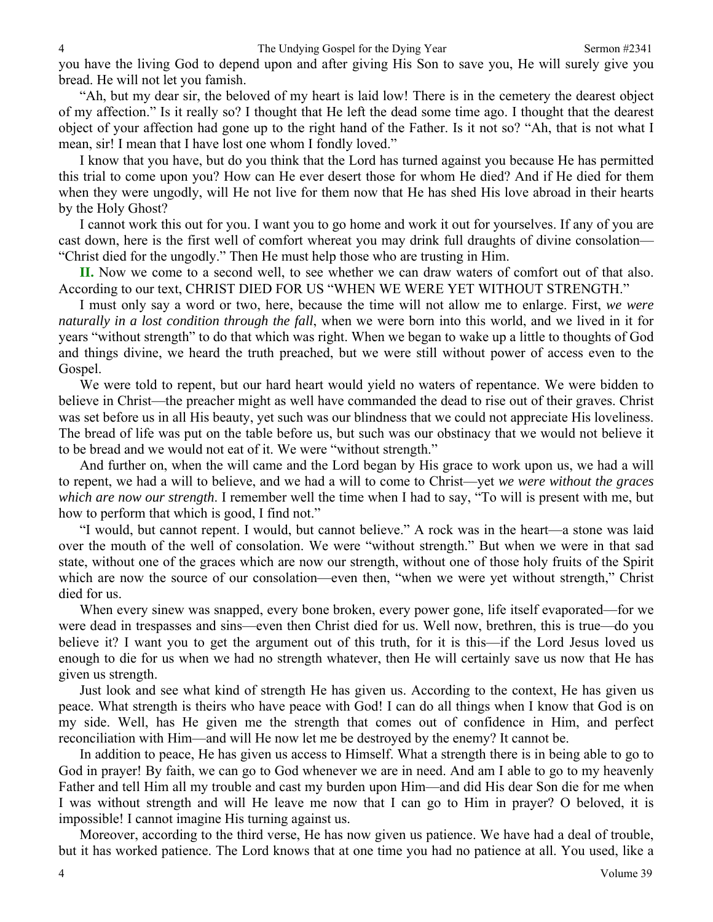you have the living God to depend upon and after giving His Son to save you, He will surely give you bread. He will not let you famish.

"Ah, but my dear sir, the beloved of my heart is laid low! There is in the cemetery the dearest object of my affection." Is it really so? I thought that He left the dead some time ago. I thought that the dearest object of your affection had gone up to the right hand of the Father. Is it not so? "Ah, that is not what I mean, sir! I mean that I have lost one whom I fondly loved."

I know that you have, but do you think that the Lord has turned against you because He has permitted this trial to come upon you? How can He ever desert those for whom He died? And if He died for them when they were ungodly, will He not live for them now that He has shed His love abroad in their hearts by the Holy Ghost?

I cannot work this out for you. I want you to go home and work it out for yourselves. If any of you are cast down, here is the first well of comfort whereat you may drink full draughts of divine consolation— "Christ died for the ungodly." Then He must help those who are trusting in Him.

**II.** Now we come to a second well, to see whether we can draw waters of comfort out of that also. According to our text, CHRIST DIED FOR US "WHEN WE WERE YET WITHOUT STRENGTH."

I must only say a word or two, here, because the time will not allow me to enlarge. First, *we were naturally in a lost condition through the fall*, when we were born into this world, and we lived in it for years "without strength" to do that which was right. When we began to wake up a little to thoughts of God and things divine, we heard the truth preached, but we were still without power of access even to the Gospel.

We were told to repent, but our hard heart would yield no waters of repentance. We were bidden to believe in Christ—the preacher might as well have commanded the dead to rise out of their graves. Christ was set before us in all His beauty, yet such was our blindness that we could not appreciate His loveliness. The bread of life was put on the table before us, but such was our obstinacy that we would not believe it to be bread and we would not eat of it. We were "without strength."

And further on, when the will came and the Lord began by His grace to work upon us, we had a will to repent, we had a will to believe, and we had a will to come to Christ—yet *we were without the graces which are now our strength*. I remember well the time when I had to say, "To will is present with me, but how to perform that which is good, I find not."

"I would, but cannot repent. I would, but cannot believe." A rock was in the heart—a stone was laid over the mouth of the well of consolation. We were "without strength." But when we were in that sad state, without one of the graces which are now our strength, without one of those holy fruits of the Spirit which are now the source of our consolation—even then, "when we were yet without strength," Christ died for us.

When every sinew was snapped, every bone broken, every power gone, life itself evaporated—for we were dead in trespasses and sins—even then Christ died for us. Well now, brethren, this is true—do you believe it? I want you to get the argument out of this truth, for it is this—if the Lord Jesus loved us enough to die for us when we had no strength whatever, then He will certainly save us now that He has given us strength.

Just look and see what kind of strength He has given us. According to the context, He has given us peace. What strength is theirs who have peace with God! I can do all things when I know that God is on my side. Well, has He given me the strength that comes out of confidence in Him, and perfect reconciliation with Him—and will He now let me be destroyed by the enemy? It cannot be.

In addition to peace, He has given us access to Himself. What a strength there is in being able to go to God in prayer! By faith, we can go to God whenever we are in need. And am I able to go to my heavenly Father and tell Him all my trouble and cast my burden upon Him—and did His dear Son die for me when I was without strength and will He leave me now that I can go to Him in prayer? O beloved, it is impossible! I cannot imagine His turning against us.

Moreover, according to the third verse, He has now given us patience. We have had a deal of trouble, but it has worked patience. The Lord knows that at one time you had no patience at all. You used, like a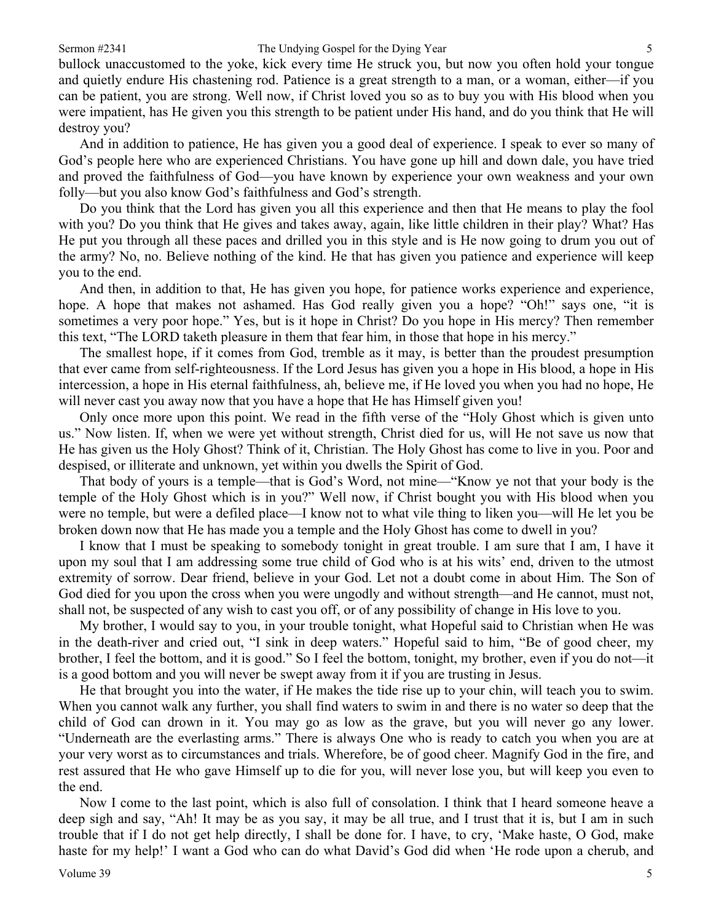#### Sermon #2341 The Undying Gospel for the Dying Year 5

bullock unaccustomed to the yoke, kick every time He struck you, but now you often hold your tongue and quietly endure His chastening rod. Patience is a great strength to a man, or a woman, either—if you can be patient, you are strong. Well now, if Christ loved you so as to buy you with His blood when you were impatient, has He given you this strength to be patient under His hand, and do you think that He will destroy you?

And in addition to patience, He has given you a good deal of experience. I speak to ever so many of God's people here who are experienced Christians. You have gone up hill and down dale, you have tried and proved the faithfulness of God—you have known by experience your own weakness and your own folly—but you also know God's faithfulness and God's strength.

Do you think that the Lord has given you all this experience and then that He means to play the fool with you? Do you think that He gives and takes away, again, like little children in their play? What? Has He put you through all these paces and drilled you in this style and is He now going to drum you out of the army? No, no. Believe nothing of the kind. He that has given you patience and experience will keep you to the end.

And then, in addition to that, He has given you hope, for patience works experience and experience, hope. A hope that makes not ashamed. Has God really given you a hope? "Oh!" says one, "it is sometimes a very poor hope." Yes, but is it hope in Christ? Do you hope in His mercy? Then remember this text, "The LORD taketh pleasure in them that fear him, in those that hope in his mercy."

The smallest hope, if it comes from God, tremble as it may, is better than the proudest presumption that ever came from self-righteousness. If the Lord Jesus has given you a hope in His blood, a hope in His intercession, a hope in His eternal faithfulness, ah, believe me, if He loved you when you had no hope, He will never cast you away now that you have a hope that He has Himself given you!

Only once more upon this point. We read in the fifth verse of the "Holy Ghost which is given unto us." Now listen. If, when we were yet without strength, Christ died for us, will He not save us now that He has given us the Holy Ghost? Think of it, Christian. The Holy Ghost has come to live in you. Poor and despised, or illiterate and unknown, yet within you dwells the Spirit of God.

That body of yours is a temple—that is God's Word, not mine—"Know ye not that your body is the temple of the Holy Ghost which is in you?" Well now, if Christ bought you with His blood when you were no temple, but were a defiled place—I know not to what vile thing to liken you—will He let you be broken down now that He has made you a temple and the Holy Ghost has come to dwell in you?

I know that I must be speaking to somebody tonight in great trouble. I am sure that I am, I have it upon my soul that I am addressing some true child of God who is at his wits' end, driven to the utmost extremity of sorrow. Dear friend, believe in your God. Let not a doubt come in about Him. The Son of God died for you upon the cross when you were ungodly and without strength—and He cannot, must not, shall not, be suspected of any wish to cast you off, or of any possibility of change in His love to you.

My brother, I would say to you, in your trouble tonight, what Hopeful said to Christian when He was in the death-river and cried out, "I sink in deep waters." Hopeful said to him, "Be of good cheer, my brother, I feel the bottom, and it is good." So I feel the bottom, tonight, my brother, even if you do not—it is a good bottom and you will never be swept away from it if you are trusting in Jesus.

He that brought you into the water, if He makes the tide rise up to your chin, will teach you to swim. When you cannot walk any further, you shall find waters to swim in and there is no water so deep that the child of God can drown in it. You may go as low as the grave, but you will never go any lower. "Underneath are the everlasting arms." There is always One who is ready to catch you when you are at your very worst as to circumstances and trials. Wherefore, be of good cheer. Magnify God in the fire, and rest assured that He who gave Himself up to die for you, will never lose you, but will keep you even to the end.

Now I come to the last point, which is also full of consolation. I think that I heard someone heave a deep sigh and say, "Ah! It may be as you say, it may be all true, and I trust that it is, but I am in such trouble that if I do not get help directly, I shall be done for. I have, to cry, 'Make haste, O God, make haste for my help!' I want a God who can do what David's God did when 'He rode upon a cherub, and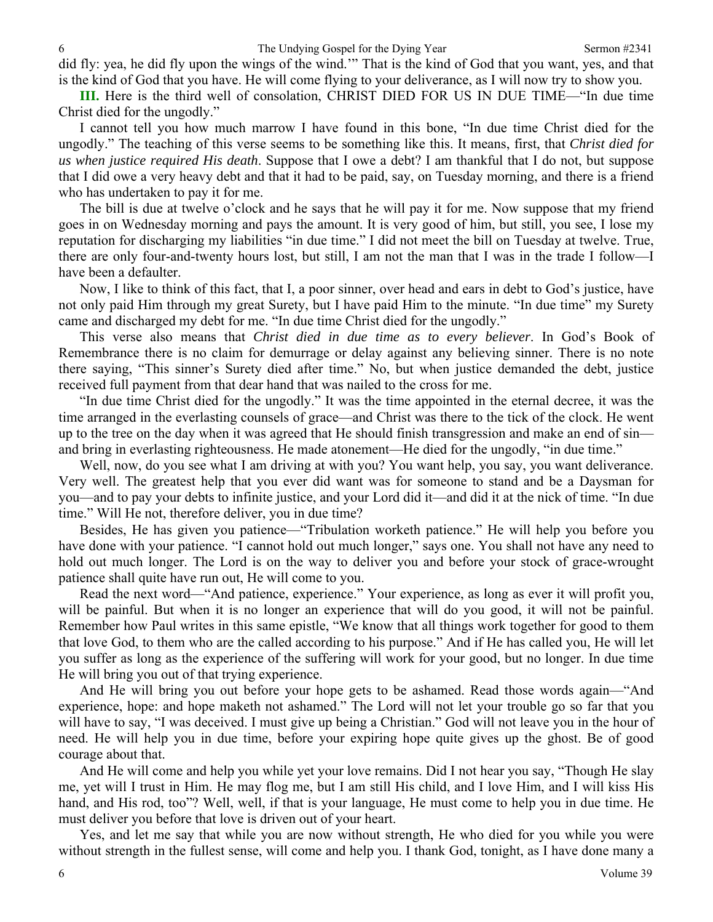did fly: yea, he did fly upon the wings of the wind.'" That is the kind of God that you want, yes, and that is the kind of God that you have. He will come flying to your deliverance, as I will now try to show you.

**III.** Here is the third well of consolation, CHRIST DIED FOR US IN DUE TIME—"In due time Christ died for the ungodly."

I cannot tell you how much marrow I have found in this bone, "In due time Christ died for the ungodly." The teaching of this verse seems to be something like this. It means, first, that *Christ died for us when justice required His death*. Suppose that I owe a debt? I am thankful that I do not, but suppose that I did owe a very heavy debt and that it had to be paid, say, on Tuesday morning, and there is a friend who has undertaken to pay it for me.

The bill is due at twelve o'clock and he says that he will pay it for me. Now suppose that my friend goes in on Wednesday morning and pays the amount. It is very good of him, but still, you see, I lose my reputation for discharging my liabilities "in due time." I did not meet the bill on Tuesday at twelve. True, there are only four-and-twenty hours lost, but still, I am not the man that I was in the trade I follow—I have been a defaulter.

Now, I like to think of this fact, that I, a poor sinner, over head and ears in debt to God's justice, have not only paid Him through my great Surety, but I have paid Him to the minute. "In due time" my Surety came and discharged my debt for me. "In due time Christ died for the ungodly."

This verse also means that *Christ died in due time as to every believer*. In God's Book of Remembrance there is no claim for demurrage or delay against any believing sinner. There is no note there saying, "This sinner's Surety died after time." No, but when justice demanded the debt, justice received full payment from that dear hand that was nailed to the cross for me.

"In due time Christ died for the ungodly." It was the time appointed in the eternal decree, it was the time arranged in the everlasting counsels of grace—and Christ was there to the tick of the clock. He went up to the tree on the day when it was agreed that He should finish transgression and make an end of sin and bring in everlasting righteousness. He made atonement—He died for the ungodly, "in due time."

Well, now, do you see what I am driving at with you? You want help, you say, you want deliverance. Very well. The greatest help that you ever did want was for someone to stand and be a Daysman for you—and to pay your debts to infinite justice, and your Lord did it—and did it at the nick of time. "In due time." Will He not, therefore deliver, you in due time?

Besides, He has given you patience—"Tribulation worketh patience." He will help you before you have done with your patience. "I cannot hold out much longer," says one. You shall not have any need to hold out much longer. The Lord is on the way to deliver you and before your stock of grace-wrought patience shall quite have run out, He will come to you.

Read the next word—"And patience, experience." Your experience, as long as ever it will profit you, will be painful. But when it is no longer an experience that will do you good, it will not be painful. Remember how Paul writes in this same epistle, "We know that all things work together for good to them that love God, to them who are the called according to his purpose." And if He has called you, He will let you suffer as long as the experience of the suffering will work for your good, but no longer. In due time He will bring you out of that trying experience.

And He will bring you out before your hope gets to be ashamed. Read those words again—"And experience, hope: and hope maketh not ashamed." The Lord will not let your trouble go so far that you will have to say, "I was deceived. I must give up being a Christian." God will not leave you in the hour of need. He will help you in due time, before your expiring hope quite gives up the ghost. Be of good courage about that.

And He will come and help you while yet your love remains. Did I not hear you say, "Though He slay me, yet will I trust in Him. He may flog me, but I am still His child, and I love Him, and I will kiss His hand, and His rod, too"? Well, well, if that is your language, He must come to help you in due time. He must deliver you before that love is driven out of your heart.

Yes, and let me say that while you are now without strength, He who died for you while you were without strength in the fullest sense, will come and help you. I thank God, tonight, as I have done many a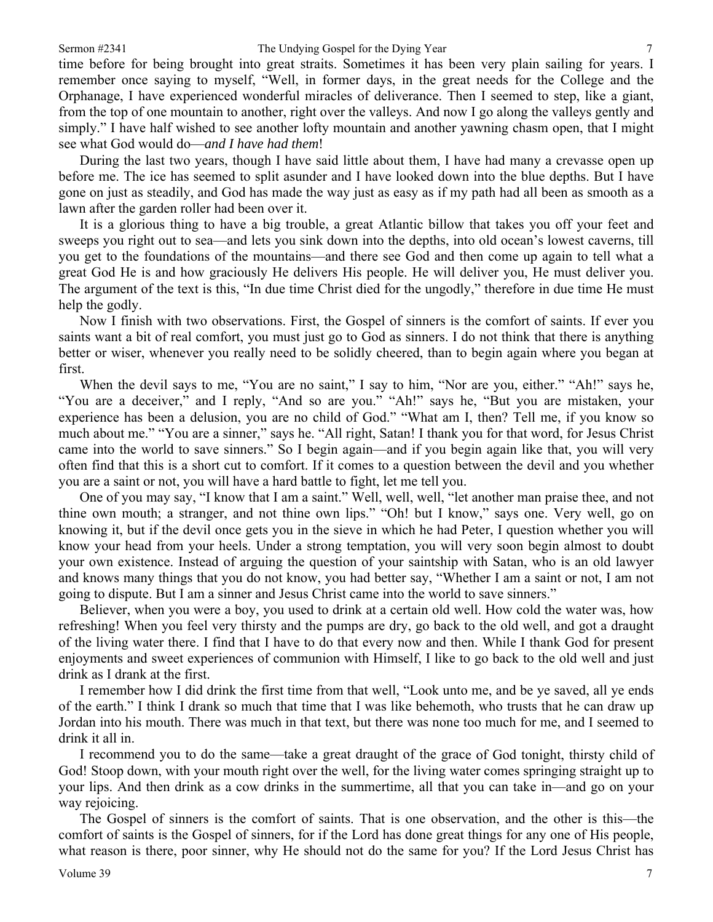time before for being brought into great straits. Sometimes it has been very plain sailing for years. I remember once saying to myself, "Well, in former days, in the great needs for the College and the Orphanage, I have experienced wonderful miracles of deliverance. Then I seemed to step, like a giant, from the top of one mountain to another, right over the valleys. And now I go along the valleys gently and simply." I have half wished to see another lofty mountain and another yawning chasm open, that I might see what God would do—*and I have had them*!

During the last two years, though I have said little about them, I have had many a crevasse open up before me. The ice has seemed to split asunder and I have looked down into the blue depths. But I have gone on just as steadily, and God has made the way just as easy as if my path had all been as smooth as a lawn after the garden roller had been over it.

It is a glorious thing to have a big trouble, a great Atlantic billow that takes you off your feet and sweeps you right out to sea—and lets you sink down into the depths, into old ocean's lowest caverns, till you get to the foundations of the mountains—and there see God and then come up again to tell what a great God He is and how graciously He delivers His people. He will deliver you, He must deliver you. The argument of the text is this, "In due time Christ died for the ungodly," therefore in due time He must help the godly.

Now I finish with two observations. First, the Gospel of sinners is the comfort of saints. If ever you saints want a bit of real comfort, you must just go to God as sinners. I do not think that there is anything better or wiser, whenever you really need to be solidly cheered, than to begin again where you began at first.

When the devil says to me, "You are no saint," I say to him, "Nor are you, either." "Ah!" says he, "You are a deceiver," and I reply, "And so are you." "Ah!" says he, "But you are mistaken, your experience has been a delusion, you are no child of God." "What am I, then? Tell me, if you know so much about me." "You are a sinner," says he. "All right, Satan! I thank you for that word, for Jesus Christ came into the world to save sinners." So I begin again—and if you begin again like that, you will very often find that this is a short cut to comfort. If it comes to a question between the devil and you whether you are a saint or not, you will have a hard battle to fight, let me tell you.

One of you may say, "I know that I am a saint." Well, well, well, "let another man praise thee, and not thine own mouth; a stranger, and not thine own lips." "Oh! but I know," says one. Very well, go on knowing it, but if the devil once gets you in the sieve in which he had Peter, I question whether you will know your head from your heels. Under a strong temptation, you will very soon begin almost to doubt your own existence. Instead of arguing the question of your saintship with Satan, who is an old lawyer and knows many things that you do not know, you had better say, "Whether I am a saint or not, I am not going to dispute. But I am a sinner and Jesus Christ came into the world to save sinners."

Believer, when you were a boy, you used to drink at a certain old well. How cold the water was, how refreshing! When you feel very thirsty and the pumps are dry, go back to the old well, and got a draught of the living water there. I find that I have to do that every now and then. While I thank God for present enjoyments and sweet experiences of communion with Himself, I like to go back to the old well and just drink as I drank at the first.

I remember how I did drink the first time from that well, "Look unto me, and be ye saved, all ye ends of the earth." I think I drank so much that time that I was like behemoth, who trusts that he can draw up Jordan into his mouth. There was much in that text, but there was none too much for me, and I seemed to drink it all in.

I recommend you to do the same—take a great draught of the grace of God tonight, thirsty child of God! Stoop down, with your mouth right over the well, for the living water comes springing straight up to your lips. And then drink as a cow drinks in the summertime, all that you can take in—and go on your way rejoicing.

The Gospel of sinners is the comfort of saints. That is one observation, and the other is this—the comfort of saints is the Gospel of sinners, for if the Lord has done great things for any one of His people, what reason is there, poor sinner, why He should not do the same for you? If the Lord Jesus Christ has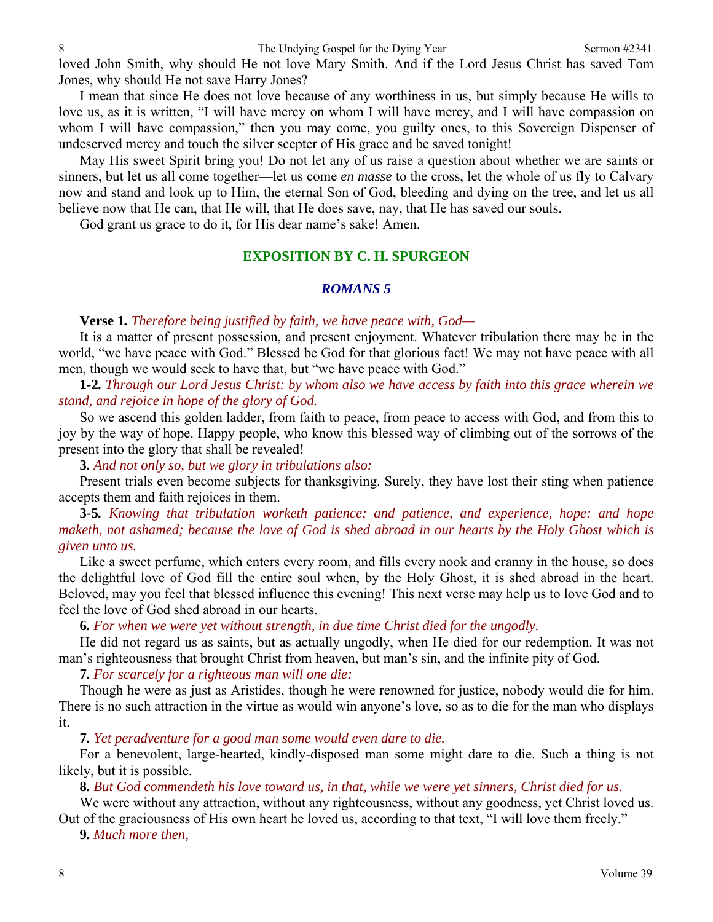8 Sermon #2341

loved John Smith, why should He not love Mary Smith. And if the Lord Jesus Christ has saved Tom Jones, why should He not save Harry Jones?

I mean that since He does not love because of any worthiness in us, but simply because He wills to love us, as it is written, "I will have mercy on whom I will have mercy, and I will have compassion on whom I will have compassion," then you may come, you guilty ones, to this Sovereign Dispenser of undeserved mercy and touch the silver scepter of His grace and be saved tonight!

May His sweet Spirit bring you! Do not let any of us raise a question about whether we are saints or sinners, but let us all come together—let us come *en masse* to the cross, let the whole of us fly to Calvary now and stand and look up to Him, the eternal Son of God, bleeding and dying on the tree, and let us all believe now that He can, that He will, that He does save, nay, that He has saved our souls.

God grant us grace to do it, for His dear name's sake! Amen.

### **EXPOSITION BY C. H. SPURGEON**

#### *ROMANS 5*

#### **Verse 1***. Therefore being justified by faith, we have peace with, God—*

It is a matter of present possession, and present enjoyment. Whatever tribulation there may be in the world, "we have peace with God." Blessed be God for that glorious fact! We may not have peace with all men, though we would seek to have that, but "we have peace with God."

**1***-***2***. Through our Lord Jesus Christ: by whom also we have access by faith into this grace wherein we stand, and rejoice in hope of the glory of God.*

So we ascend this golden ladder, from faith to peace, from peace to access with God, and from this to joy by the way of hope. Happy people, who know this blessed way of climbing out of the sorrows of the present into the glory that shall be revealed!

**3***. And not only so, but we glory in tribulations also:*

Present trials even become subjects for thanksgiving. Surely, they have lost their sting when patience accepts them and faith rejoices in them.

**3***-***5***. Knowing that tribulation worketh patience; and patience, and experience, hope: and hope maketh, not ashamed; because the love of God is shed abroad in our hearts by the Holy Ghost which is given unto us.*

Like a sweet perfume, which enters every room, and fills every nook and cranny in the house, so does the delightful love of God fill the entire soul when, by the Holy Ghost, it is shed abroad in the heart. Beloved, may you feel that blessed influence this evening! This next verse may help us to love God and to feel the love of God shed abroad in our hearts.

**6***. For when we were yet without strength, in due time Christ died for the ungodly.*

He did not regard us as saints, but as actually ungodly, when He died for our redemption. It was not man's righteousness that brought Christ from heaven, but man's sin, and the infinite pity of God.

**7***. For scarcely for a righteous man will one die:*

Though he were as just as Aristides, though he were renowned for justice, nobody would die for him. There is no such attraction in the virtue as would win anyone's love, so as to die for the man who displays it.

**7***. Yet peradventure for a good man some would even dare to die.*

For a benevolent, large-hearted, kindly-disposed man some might dare to die. Such a thing is not likely, but it is possible.

**8***. But God commendeth his love toward us, in that, while we were yet sinners, Christ died for us.*

We were without any attraction, without any righteousness, without any goodness, yet Christ loved us. Out of the graciousness of His own heart he loved us, according to that text, "I will love them freely."

**9***. Much more then,*